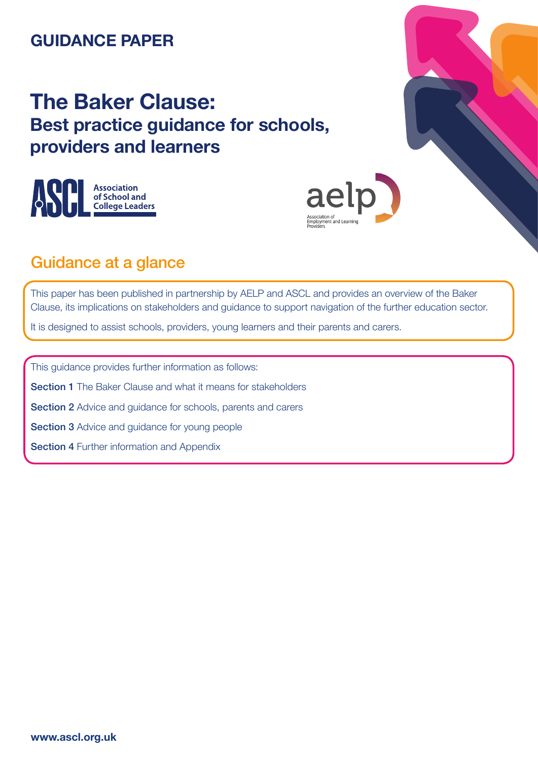# **GUIDANCE PAPER**

# **The Baker Clause: Best practice guidance for schools, providers and learners**





# Guidance at a glance

This paper has been published in partnership by AELP and ASCL and provides an overview of the Baker Clause, its implications on stakeholders and guidance to support navigation of the further education sector.

It is designed to assist schools, providers, young learners and their parents and carers.

This guidance provides further information as follows:

**Section 1** The Baker Clause and what it means for stakeholders

Section 2 Advice and guidance for schools, parents and carers

**Section 3** Advice and guidance for young people

**Section 4 Further information and Appendix**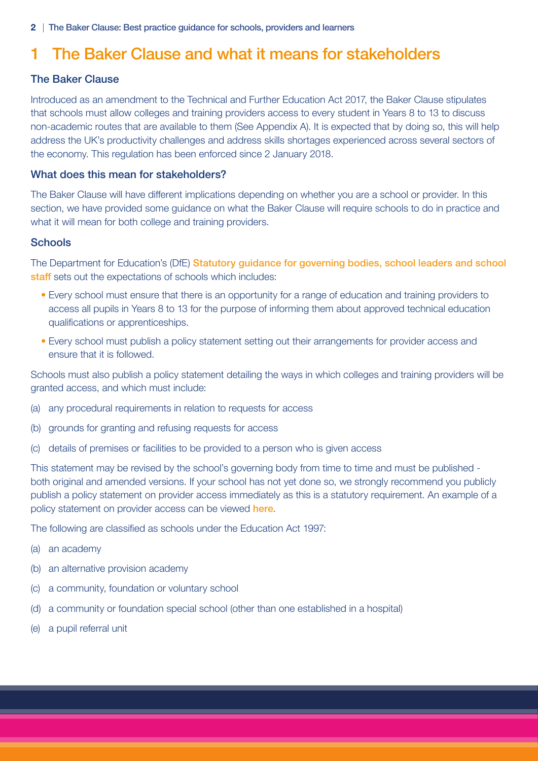# 1 The Baker Clause and what it means for stakeholders

### The Baker Clause

Introduced as an amendment to the Technical and Further Education Act 2017, the Baker Clause stipulates that schools must allow colleges and training providers access to every student in Years 8 to 13 to discuss non-academic routes that are available to them (See Appendix A). It is expected that by doing so, this will help address the UK's productivity challenges and address skills shortages experienced across several sectors of the economy. This regulation has been enforced since 2 January 2018.

### What does this mean for stakeholders?

The Baker Clause will have different implications depending on whether you are a school or provider. In this section, we have provided some guidance on what the Baker Clause will require schools to do in practice and what it will mean for both college and training providers.

### **Schools**

The Department for Education's (DfE) Statutory guidance for governing bodies, school leaders and school [staff](https://assets.publishing.service.gov.uk/government/uploads/system/uploads/attachment_data/file/672418/_Careers_guidance_and_access_for_education_and_training_providers.pdf) sets out the expectations of schools which includes:

- Every school must ensure that there is an opportunity for a range of education and training providers to access all pupils in Years 8 to 13 for the purpose of informing them about approved technical education qualifications or apprenticeships.
- Every school must publish a policy statement setting out their arrangements for provider access and ensure that it is followed.

Schools must also publish a policy statement detailing the ways in which colleges and training providers will be granted access, and which must include:

- (a) any procedural requirements in relation to requests for access
- (b) grounds for granting and refusing requests for access
- (c) details of premises or facilities to be provided to a person who is given access

This statement may be revised by the school's governing body from time to time and must be published both original and amended versions. If your school has not yet done so, we strongly recommend you publicly publish a policy statement on provider access immediately as this is a statutory requirement. An example of a policy statement on provider access can be viewed [here](https://www.semlep.com/modules/downloads/download.php?file_name=967).

The following are classified as schools under the Education Act 1997:

- (a) an academy
- (b) an alternative provision academy
- (c) a community, foundation or voluntary school
- (d) a community or foundation special school (other than one established in a hospital)
- (e) a pupil referral unit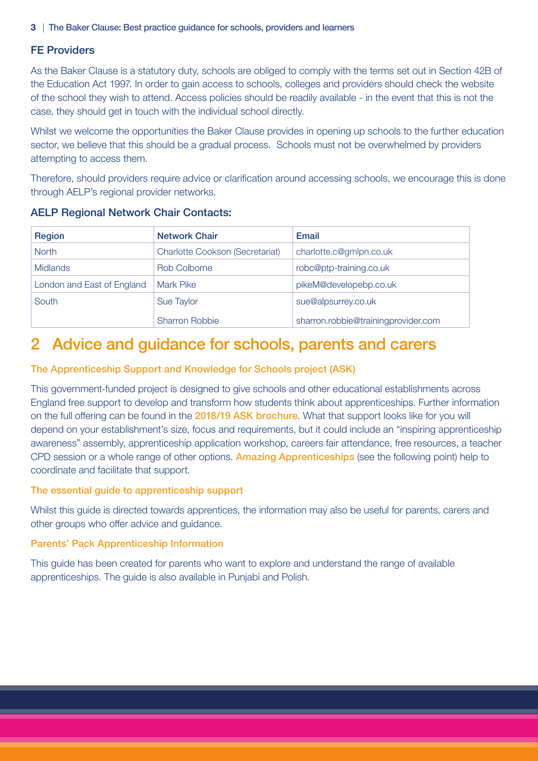### **FE Providers**

As the Baker Clause is a statutory duty, schools are obliged to comply with the terms set out in Section 42B of the Education Act 1997. In order to gain access to schools, colleges and providers should check the website of the school they wish to attend. Access policies should be readily available - in the event that this is not the case, they should get in touch with the individual school directly.

Whilst we welcome the opportunities the Baker Clause provides in opening up schools to the further education sector, we believe that this should be a gradual process. Schools must not be overwhelmed by providers attempting to access them.

Therefore, should providers require advice or clarification around accessing schools, we encourage this is done through AELP's regional provider networks.

| Region                     | <b>Network Chair</b>                   | Email                               |
|----------------------------|----------------------------------------|-------------------------------------|
| <b>North</b>               | <b>Charlotte Cookson (Secretariat)</b> | charlotte.c@gmlpn.co.uk             |
| <b>Midlands</b>            | <b>Rob Colborne</b>                    | robc@ptp-training.co.uk             |
| London and East of England | <b>Mark Pike</b>                       | pikeM@developebp.co.uk              |
| South                      | Sue Taylor                             | sue@alpsurrey.co.uk                 |
|                            | <b>Sharron Robbie</b>                  | sharron.robbie@trainingprovider.com |

### AELP Regional Network Chair Contacts:

### 2 Advice and guidance for schools, parents and carers

### [The Apprenticeship Support and Knowledge for Schools project \(ASK\)](https://resources.amazingapprenticeships.com/about-ask/)

This government-funded project is designed to give schools and other educational establishments across England free support to develop and transform how students think about apprenticeships. Further information on the full offering can be found in the [2018/19 ASK brochure](https://amazingapprenticeships.com/resource/ask-offer-brochure/). What that support looks like for you will depend on your establishment's size, focus and requirements, but it could include an "inspiring apprenticeship awareness" assembly, apprenticeship application workshop, careers fair attendance, free resources, a teacher CPD session or a whole range of other options. **[Amazing Apprenticeships](https://amazingapprenticeships.com)** (see the following point) help to coordinate and facilitate that support.

### [The essential guide to apprenticeship support](https://resources.amazingapprenticeships.com/app/uploads/Apps_A5_Learner_Support.pdf)

Whilst this guide is directed towards apprentices, the information may also be useful for parents, carers and other groups who offer advice and guidance.

### [Parents' Pack Apprenticeship Information](https://amazingapprenticeships.com/app/uploads/2018/10/Parent-Pack-October-2018.pdf)

This guide has been created for parents who want to explore and understand the range of available apprenticeships. The guide is also available in Punjabi and Polish.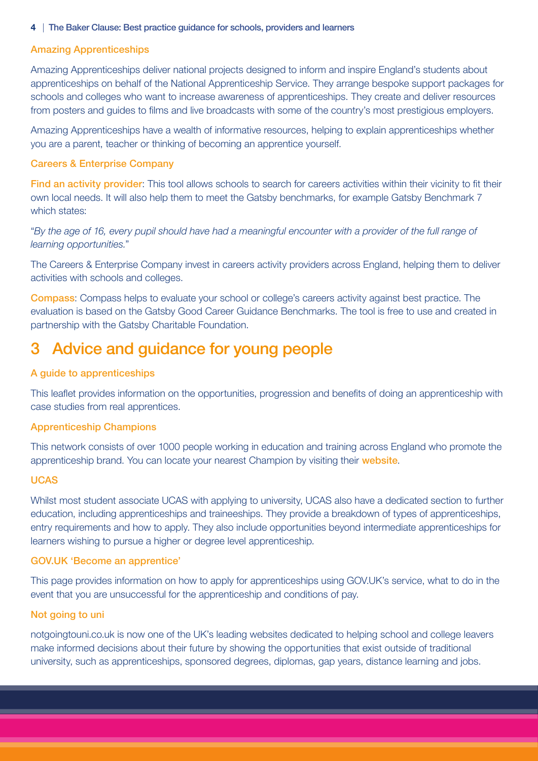### [Amazing Apprenticeships](https://amazingapprenticeships.com)

Amazing Apprenticeships deliver national projects designed to inform and inspire England's students about apprenticeships on behalf of the National Apprenticeship Service. They arrange bespoke support packages for schools and colleges who want to increase awareness of apprenticeships. They create and deliver resources from posters and guides to films and live broadcasts with some of the country's most prestigious employers.

Amazing Apprenticeships have a wealth of informative resources, helping to explain apprenticeships whether you are a parent, teacher or thinking of becoming an apprentice yourself.

#### [Careers & Enterprise Company](https://www.careersandenterprise.co.uk/)

[Find an activity provider](https://www.careersandenterprise.co.uk/find-activity-provider): This tool allows schools to search for careers activities within their vicinity to fit their own local needs. It will also help them to meet the Gatsby benchmarks, for example Gatsby Benchmark 7 which states:

"*By the age of 16, every pupil should have had a meaningful encounter with a provider of the full range of learning opportunities.*"

The Careers & Enterprise Company invest in careers activity providers across England, helping them to deliver activities with schools and colleges.

[Compass](https://www.careersandenterprise.co.uk/schools-colleges/compass-benchmark-tool): Compass helps to evaluate your school or college's careers activity against best practice. The evaluation is based on the Gatsby Good Career Guidance Benchmarks. The tool is free to use and created in partnership with the Gatsby Charitable Foundation.

# 3 Advice and guidance for young people

### [A guide to apprenticeships](https://resources.amazingapprenticeships.com/app/uploads/Guide-to-Apprenticeships_090418.pdf)

This leaflet provides information on the opportunities, progression and benefits of doing an apprenticeship with case studies from real apprentices.

#### [Apprenticeship Champions](https://amazingapprenticeships.com/champions/)

This network consists of over 1000 people working in education and training across England who promote the apprenticeship brand. You can locate your nearest Champion by visiting their [website](https://amazingapprenticeships.com/champions/).

#### **[UCAS](https://www.ucas.com/further-education/apprenticeships-and-traineeships/post-16-apprenticeships)**

Whilst most student associate UCAS with applying to university, UCAS also have a dedicated section to further education, including apprenticeships and traineeships. They provide a breakdown of types of apprenticeships, entry requirements and how to apply. They also include opportunities beyond intermediate apprenticeships for learners wishing to pursue a higher or degree level apprenticeship.

#### [GOV.UK 'Become an apprentice'](https://www.gov.uk/apprenticeships-guide)

This page provides information on how to apply for apprenticeships using GOV.UK's service, what to do in the event that you are unsuccessful for the apprenticeship and conditions of pay.

### [Not going to uni](https://www.notgoingtouni.co.uk/all)

notgoingtouni.co.uk is now one of the UK's leading websites dedicated to helping school and college leavers make informed decisions about their future by showing the opportunities that exist outside of traditional university, such as apprenticeships, sponsored degrees, diplomas, gap years, distance learning and jobs.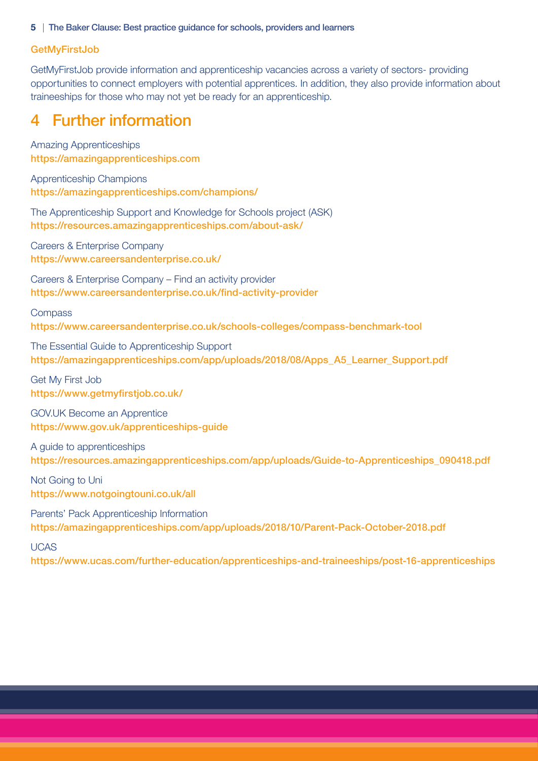### **[GetMyFirstJob](https://www.getmyfirstjob.co.uk/)**

GetMyFirstJob provide information and apprenticeship vacancies across a variety of sectors- providing opportunities to connect employers with potential apprentices. In addition, they also provide information about traineeships for those who may not yet be ready for an apprenticeship.

## 4 Further information

Amazing Apprenticeships https://amazingapprenticeships.com

Apprenticeship Champions https://amazingapprenticeships.com/champions/

The Apprenticeship Support and Knowledge for Schools project (ASK) https://resources.amazingapprenticeships.com/about-ask/

Careers & Enterprise Company https://www.careersandenterprise.co.uk/

Careers & Enterprise Company – Find an activity provider https://www.careersandenterprise.co.uk/find-activity-provider

**Compass** https://www.careersandenterprise.co.uk/schools-colleges/compass-benchmark-tool

The Essential Guide to Apprenticeship Support https://amazingapprenticeships.com/app/uploads/2018/08/Apps\_A5\_Learner\_Support.pdf

Get My First Job https://www.getmyfirstjob.co.uk/

GOV.UK Become an Apprentice https://www.gov.uk/apprenticeships-guide

A guide to apprenticeships https://resources.amazingapprenticeships.com/app/uploads/Guide-to-Apprenticeships\_090418.pdf

Not Going to Uni https://www.notgoingtouni.co.uk/all

Parents' Pack Apprenticeship Information https://amazingapprenticeships.com/app/uploads/2018/10/Parent-Pack-October-2018.pdf

UCAS

https://www.ucas.com/further-education/apprenticeships-and-traineeships/post-16-apprenticeships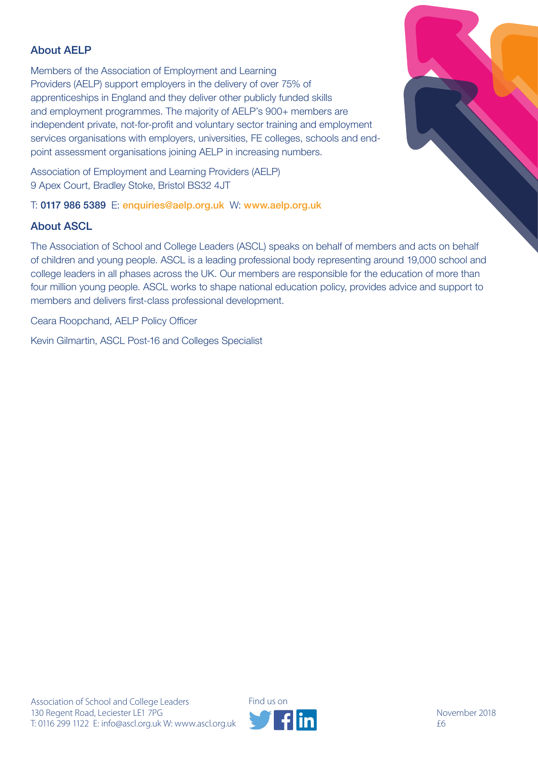### About AELP

Members of the Association of Employment and Learning Providers (AELP) support employers in the delivery of over 75% of apprenticeships in England and they deliver other publicly funded skills and employment programmes. The majority of AELP's 900+ members are independent private, not-for-profit and voluntary sector training and employment services organisations with employers, universities, FE colleges, schools and endpoint assessment organisations joining AELP in increasing numbers.

Association of Employment and Learning Providers (AELP) 9 Apex Court, Bradley Stoke, Bristol BS32 4JT

### T: 0117 986 5389 E: enquiries@aelp.org.uk W: www.aelp.org.uk

### **About ASCL**

The Association of School and College Leaders (ASCL) speaks on behalf of members and acts on behalf of children and young people. ASCL is a leading professional body representing around 19,000 school and college leaders in all phases across the UK. Our members are responsible for the education of more than four million young people. ASCL works to shape national education policy, provides advice and support to members and delivers first-class professional development.

Ceara Roopchand, AELP Policy Officer

Kevin Gilmartin, ASCL Post-16 and Colleges Specialist